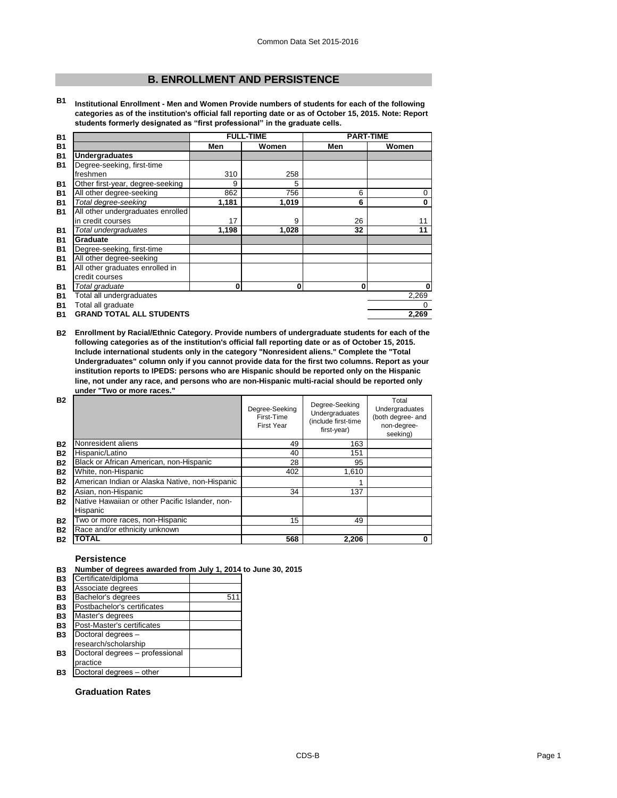# **B. ENROLLMENT AND PERSISTENCE**

**B1 Institutional Enrollment - Men and Women Provide numbers of students for each of the following categories as of the institution's official fall reporting date or as of October 15, 2015. Note: Report students formerly designated as "first professional" in the graduate cells.**

| <b>B1</b> |                                   |       | <b>FULL-TIME</b> | <b>PART-TIME</b> |              |
|-----------|-----------------------------------|-------|------------------|------------------|--------------|
| <b>B1</b> |                                   | Men   | Women            | Men              | Women        |
| <b>B1</b> | <b>Undergraduates</b>             |       |                  |                  |              |
| <b>B1</b> | Degree-seeking, first-time        |       |                  |                  |              |
|           | freshmen                          | 310   | 258              |                  |              |
| <b>B1</b> | Other first-year, degree-seeking  | 9     | 5                |                  |              |
| <b>B1</b> | All other degree-seeking          | 862   | 756              | 6                | 0            |
| <b>B1</b> | Total degree-seeking              | 1,181 | 1,019            | 6                | 0            |
| <b>B1</b> | All other undergraduates enrolled |       |                  |                  |              |
|           | in credit courses                 | 17    | 9                | 26               | 11           |
| <b>B1</b> | Total undergraduates              | 1,198 | 1,028            | 32               | 11           |
| <b>B1</b> | Graduate                          |       |                  |                  |              |
| <b>B1</b> | Degree-seeking, first-time        |       |                  |                  |              |
| <b>B1</b> | All other degree-seeking          |       |                  |                  |              |
| <b>B1</b> | All other graduates enrolled in   |       |                  |                  |              |
|           | credit courses                    |       |                  |                  |              |
| <b>B1</b> | Total graduate                    | 0     | 0                | 0                | $\mathbf{0}$ |
| <b>B1</b> | Total all undergraduates          |       |                  |                  | 2,269        |
| <b>B1</b> | Total all graduate                |       |                  |                  | $\Omega$     |
| <b>B1</b> | <b>GRAND TOTAL ALL STUDENTS</b>   |       |                  |                  | 2,269        |

**B2 Enrollment by Racial/Ethnic Category. Provide numbers of undergraduate students for each of the following categories as of the institution's official fall reporting date or as of October 15, 2015. Include international students only in the category "Nonresident aliens." Complete the "Total Undergraduates" column only if you cannot provide data for the first two columns. Report as your institution reports to IPEDS: persons who are Hispanic should be reported only on the Hispanic line, not under any race, and persons who are non-Hispanic multi-racial should be reported only under "Two or more races."** 

| <b>B2</b> |                                                             | Degree-Seeking<br>First-Time<br><b>First Year</b> | Degree-Seeking<br><b>Undergraduates</b><br>(include first-time<br>first-year) | Total<br>Undergraduates<br>(both degree- and<br>non-degree-<br>seeking) |
|-----------|-------------------------------------------------------------|---------------------------------------------------|-------------------------------------------------------------------------------|-------------------------------------------------------------------------|
| <b>B2</b> | Nonresident aliens                                          | 49                                                | 163                                                                           |                                                                         |
| <b>B2</b> | Hispanic/Latino                                             | 40                                                | 151                                                                           |                                                                         |
| <b>B2</b> | Black or African American, non-Hispanic                     | 28                                                | 95                                                                            |                                                                         |
| <b>B2</b> | White, non-Hispanic                                         | 402                                               | 1,610                                                                         |                                                                         |
| <b>B2</b> | American Indian or Alaska Native, non-Hispanic              |                                                   |                                                                               |                                                                         |
| <b>B2</b> | Asian, non-Hispanic                                         | 34                                                | 137                                                                           |                                                                         |
| <b>B2</b> | Native Hawaiian or other Pacific Islander, non-<br>Hispanic |                                                   |                                                                               |                                                                         |
| <b>B2</b> | Two or more races, non-Hispanic                             | 15                                                | 49                                                                            |                                                                         |
| <b>B2</b> | Race and/or ethnicity unknown                               |                                                   |                                                                               |                                                                         |
| <b>B2</b> | TOTAL                                                       | 568                                               | 2,206                                                                         | 0                                                                       |

## **Persistence**

#### **B3 Number of degrees awarded from July 1, 2014 to June 30, 2015**

| <b>B3</b> | Certificate/diploma             |     |
|-----------|---------------------------------|-----|
| <b>B3</b> | Associate degrees               |     |
| <b>B3</b> | Bachelor's degrees              | 511 |
| <b>B3</b> | Postbachelor's certificates     |     |
| <b>B3</b> | Master's degrees                |     |
| <b>B3</b> | Post-Master's certificates      |     |
| <b>B3</b> | Doctoral degrees -              |     |
|           | research/scholarship            |     |
| <b>B3</b> | Doctoral degrees - professional |     |
|           | practice                        |     |
| <b>B3</b> | Doctoral degrees - other        |     |

### **Graduation Rates**